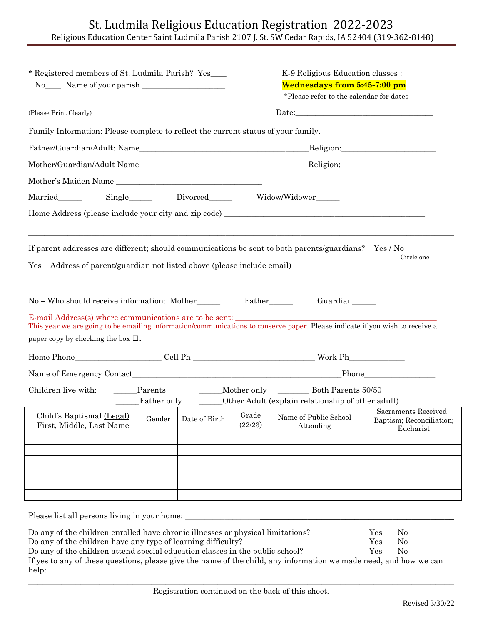| * Registered members of St. Ludmila Parish? Yes____                                                                                                                                                                                                                                 |  |  | K-9 Religious Education classes :<br>Wednesdays from 5:45-7:00 pm<br>*Please refer to the calendar for dates |                                                                      |                                                                                                                |  |
|-------------------------------------------------------------------------------------------------------------------------------------------------------------------------------------------------------------------------------------------------------------------------------------|--|--|--------------------------------------------------------------------------------------------------------------|----------------------------------------------------------------------|----------------------------------------------------------------------------------------------------------------|--|
| (Please Print Clearly)                                                                                                                                                                                                                                                              |  |  | ${\it Date:} \begin{tabular}{ l l } \hline \hline \multicolumn{3}{ l }{\textbf{Date:}} \end{tabular}$        |                                                                      |                                                                                                                |  |
| Family Information: Please complete to reflect the current status of your family.                                                                                                                                                                                                   |  |  |                                                                                                              |                                                                      |                                                                                                                |  |
|                                                                                                                                                                                                                                                                                     |  |  |                                                                                                              |                                                                      |                                                                                                                |  |
| Mother/Guardian/Adult Name                                                                                                                                                                                                                                                          |  |  |                                                                                                              |                                                                      |                                                                                                                |  |
| Mother's Maiden Name                                                                                                                                                                                                                                                                |  |  |                                                                                                              |                                                                      |                                                                                                                |  |
|                                                                                                                                                                                                                                                                                     |  |  |                                                                                                              |                                                                      |                                                                                                                |  |
| If parent addresses are different; should communications be sent to both parents/guardians? Yes / No<br>Yes – Address of parent/guardian not listed above (please include email)                                                                                                    |  |  |                                                                                                              |                                                                      | Circle one                                                                                                     |  |
| No – Who should receive information: Mother<br>E-mail Address(s) where communications are to be sent:<br>This year we are going to be emailing information/communications to conserve paper. Please indicate if you wish to receive a<br>paper copy by checking the box $\square$ . |  |  | Father________                                                                                               | Guardian                                                             |                                                                                                                |  |
|                                                                                                                                                                                                                                                                                     |  |  |                                                                                                              |                                                                      | Phone have a series of the series of the series of the series of the series of the series of the series of the |  |
| Children live with: Parents                                                                                                                                                                                                                                                         |  |  |                                                                                                              | Father only _______Other Adult (explain relationship of other adult) |                                                                                                                |  |
| Child's Baptismal (Legal) $\Big $ Gender $\Big $ Date of Birth $\Big $ Grade $\Big $ Name of Public School<br>First, Middle, Last Name                                                                                                                                              |  |  | (22/23)                                                                                                      | Attending                                                            | Sacraments Received<br>Baptism; Reconciliation;<br>Eucharist                                                   |  |
|                                                                                                                                                                                                                                                                                     |  |  |                                                                                                              |                                                                      |                                                                                                                |  |
| Please list all persons living in your home:<br>Do any of the children enrolled have chronic illnesses or physical limitations?<br>Do any of the children have any type of learning difficulty?<br>Do any of the children attend special education classes in the public school?    |  |  |                                                                                                              |                                                                      | N <sub>0</sub><br>Yes<br>Yes<br>$\rm No$<br>Yes<br>$\rm No$                                                    |  |

If yes to any of these questions, please give the name of the child, any information we made need, and how we can help: